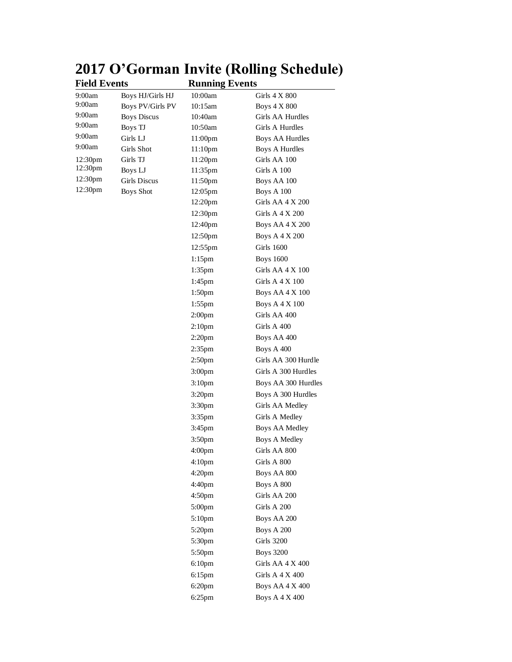| <b>Field Events</b> |                    | <b>Running Events</b> |                       |
|---------------------|--------------------|-----------------------|-----------------------|
| 9:00am              | Boys HJ/Girls HJ   | 10:00am               | Girls 4 X 800         |
| 9:00am              | Boys PV/Girls PV   | 10:15am               | <b>Boys 4 X 800</b>   |
| 9:00am              | <b>Boys Discus</b> | 10:40am               | Girls AA Hurdles      |
| 9:00am              | Boys TJ            | 10:50am               | Girls A Hurdles       |
| 9:00am              | Girls LJ           | 11:00pm               | Boys AA Hurdles       |
| 9:00am              | Girls Shot         | 11:10 <sub>pm</sub>   | Boys A Hurdles        |
| 12:30pm             | Girls TJ           | 11:20pm               | Girls AA 100          |
| 12:30pm             | Boys LJ            | 11:35pm               | Girls A 100           |
| 12:30pm             | Girls Discus       | 11:50pm               | Boys AA 100           |
| 12:30pm             | <b>Boys Shot</b>   | 12:05pm               | Boys A 100            |
|                     |                    | 12:20pm               | Girls AA 4 X 200      |
|                     |                    | 12:30pm               | Girls A 4 X 200       |
|                     |                    | 12:40pm               | Boys AA 4 X 200       |
|                     |                    | 12:50 <sub>pm</sub>   | Boys A 4 X 200        |
|                     |                    | 12:55pm               | <b>Girls 1600</b>     |
|                     |                    | $1:15$ pm             | <b>Boys</b> 1600      |
|                     |                    | 1:35pm                | Girls AA 4 X 100      |
|                     |                    | $1:45$ pm             | Girls A 4 X 100       |
|                     |                    | 1:50 <sub>pm</sub>    | Boys AA 4 X 100       |
|                     |                    | $1:55$ pm             | <b>Boys A 4 X 100</b> |
|                     |                    | 2:00 <sub>pm</sub>    | Girls AA 400          |
|                     |                    | 2:10 <sub>pm</sub>    | Girls A 400           |
|                     |                    | 2:20 <sub>pm</sub>    | Boys AA 400           |
|                     |                    | 2:35 <sub>pm</sub>    | Boys A 400            |
|                     |                    | 2:50pm                | Girls AA 300 Hurdle   |
|                     |                    | 3:00 <sub>pm</sub>    | Girls A 300 Hurdles   |
|                     |                    | 3:10 <sub>pm</sub>    | Boys AA 300 Hurdles   |
|                     |                    | 3:20 <sub>pm</sub>    | Boys A 300 Hurdles    |
|                     |                    | 3:30 <sub>pm</sub>    | Girls AA Medley       |
|                     |                    | $3:35$ pm             | Girls A Medley        |
|                     |                    | 3:45pm                | Boys AA Medley        |
|                     |                    | 3:50 <sub>pm</sub>    | <b>Boys A Medley</b>  |
|                     |                    | 4:00pm                | Girls AA 800          |
|                     |                    | 4:10 <sub>pm</sub>    | Girls A 800           |
|                     |                    | 4:20 <sub>pm</sub>    | Boys AA 800           |
|                     |                    | 4:40pm                | Boys A 800            |
|                     |                    | 4:50pm                | Girls AA 200          |
|                     |                    | 5:00 <sub>pm</sub>    | Girls A 200           |
|                     |                    |                       |                       |
|                     |                    | 5:10 <sub>pm</sub>    | Boys AA 200           |
|                     |                    | $5:20$ pm             | Boys A 200            |
|                     |                    | 5:30pm                | Girls 3200            |
|                     |                    | 5:50pm                | <b>Boys 3200</b>      |
|                     |                    | 6:10 <sub>pm</sub>    | Girls AA 4 X 400      |
|                     |                    | $6:15$ pm             | Girls A $4 X 400$     |
|                     |                    | 6:20 <sub>pm</sub>    | Boys AA 4 X 400       |
|                     |                    | $6:25$ pm             | Boys A 4 X 400        |

## **2017 O'Gorman Invite (Rolling Schedule)**